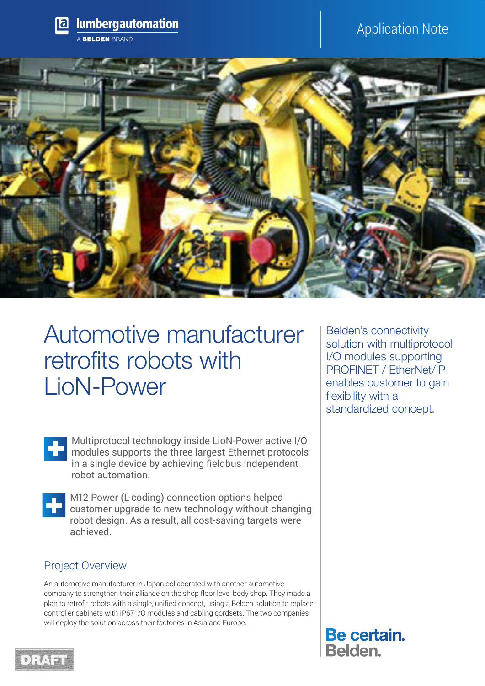

# Automotive manufacturer retrofits robots with LioN-Power

Multiprotocol technology inside LioN-Power active I/O modules supports the three largest Ethernet protocols in a single device by achieving fieldbus independent robot automation.



M12 Power (L-coding) connection options helped customer upgrade to new technology without changing robot design. As a result, all cost-saving targets were achieved.

# Project Overview

An automotive manufacturer in Japan collaborated with another automotive company to strengthen their alliance on the shop floor level body shop. They made a plan to retrofit robots with a single, unified concept, using a Belden solution to replace controller cabinets with IP67 I/O modules and cabling cordsets. The two companies will deploy the solution across their factories in Asia and Europe.

Belden's connectivity solution with multiprotocol I/O modules supporting PROFINET / EtherNet/IP enables customer to gain flexibility with a standardized concept.

**Be certain.** Belden.

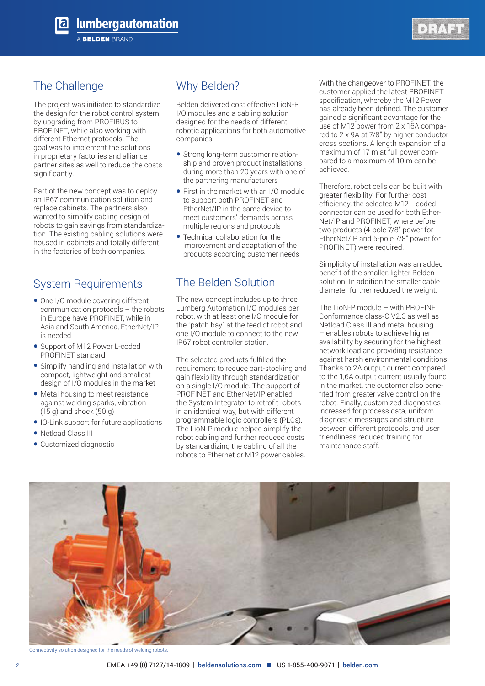



# The Challenge

The project was initiated to standardize the design for the robot control system by upgrading from PROFIBUS to PROFINET, while also working with different Ethernet protocols. The goal was to implement the solutions in proprietary factories and alliance partner sites as well to reduce the costs significantly.

Part of the new concept was to deploy an IP67 communication solution and replace cabinets. The partners also wanted to simplify cabling design of robots to gain savings from standardization. The existing cabling solutions were housed in cabinets and totally different in the factories of both companies.

## System Requirements

- One I/O module covering different communication protocols – the robots in Europe have PROFINET, while in Asia and South America, EtherNet/IP is needed
- Support of M12 Power L-coded PROFINET standard
- Simplify handling and installation with compact, lightweight and smallest design of I/O modules in the market
- Metal housing to meet resistance against welding sparks, vibration (15 g) and shock (50 g)
- IO-Link support for future applications
- Netload Class III
- Customized diagnostic

# Why Belden?

Belden delivered cost effective LioN-P I/O modules and a cabling solution designed for the needs of different robotic applications for both automotive companies.

- Strong long-term customer relationship and proven product installations during more than 20 years with one of the partnering manufacturers
- First in the market with an I/O module to support both PROFINET and EtherNet/IP in the same device to meet customers' demands across multiple regions and protocols
- Technical collaboration for the improvement and adaptation of the products according customer needs

# The Belden Solution

The new concept includes up to three Lumberg Automation I/O modules per robot, with at least one I/O module for the "patch bay" at the feed of robot and one I/O module to connect to the new IP67 robot controller station.

The selected products fulfilled the requirement to reduce part-stocking and gain flexibility through standardization on a single I/O module. The support of PROFINET and EtherNet/IP enabled the System Integrator to retrofit robots in an identical way, but with different programmable logic controllers (PLCs). The LioN-P module helped simplify the robot cabling and further reduced costs by standardizing the cabling of all the robots to Ethernet or M12 power cables.

With the changeover to PROFINET, the customer applied the latest PROFINET specification, whereby the M12 Power has already been defined. The customer gained a significant advantage for the use of M12 power from 2 x 16A compared to 2 x 9A at 7/8" by higher conductor cross sections. A length expansion of a maximum of 17 m at full power compared to a maximum of 10 m can be achieved.

Therefore, robot cells can be built with greater flexibility. For further cost efficiency, the selected M12 L-coded connector can be used for both Ether-Net/IP and PROFINET, where before two products (4-pole 7/8" power for EtherNet/IP and 5-pole 7/8" power for PROFINET) were required.

Simplicity of installation was an added benefit of the smaller, lighter Belden solution. In addition the smaller cable diameter further reduced the weight.

The LioN-P module – with PROFINET Conformance class-C V2.3 as well as Netload Class III and metal housing – enables robots to achieve higher availability by securing for the highest network load and providing resistance against harsh environmental conditions. Thanks to 2A output current compared to the 1,6A output current usually found in the market, the customer also benefited from greater valve control on the robot. Finally, customized diagnostics increased for process data, uniform diagnostic messages and structure between different protocols, and user friendliness reduced training for maintenance staff.



Connectivity solution designed for the needs of welding robots.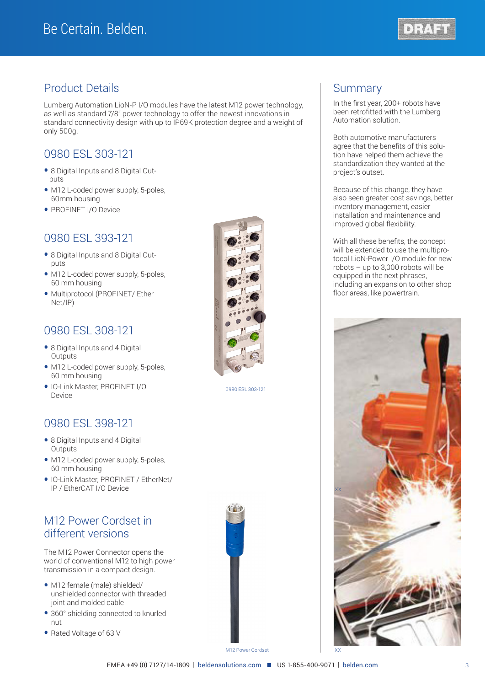

## Product Details

Lumberg Automation LioN-P I/O modules have the latest M12 power technology, as well as standard 7/8" power technology to offer the newest innovations in standard connectivity design with up to IP69K protection degree and a weight of only 500g.

# 0980 ESL 303-121

- 8 Digital Inputs and 8 Digital Out puts
- M12 L-coded power supply, 5-poles, 60mm housing
- PROFINET I/O Device

## 0980 ESL 393-121

- 8 Digital Inputs and 8 Digital Out puts
- M12 L-coded power supply, 5-poles, 60 mm housing
- Multiprotocol (PROFINET/ Ether Net/IP)

## 0980 ESL 308-121

- 8 Digital Inputs and 4 Digital **Outputs**
- M12 L-coded power supply, 5-poles, 60 mm housing
- IO-Link Master, PROFINET I/O Device

## 0980 ESL 398-121

- 8 Digital Inputs and 4 Digital **Outputs**
- M12 L-coded power supply, 5-poles, 60 mm housing
- IO-Link Master, PROFINET / EtherNet/ IP / EtherCAT I/O Device

## M12 Power Cordset in different versions

The M12 Power Connector opens the world of conventional M12 to high power transmission in a compact design.

- M12 female (male) shielded/ unshielded connector with threaded joint and molded cable
- 360° shielding connected to knurled nut
- Rated Voltage of 63 V



0980 ESL 303-121

 $\left( \begin{array}{c} 1 \\ 1 \end{array} \right)$ 

## **Summary**

In the first year, 200+ robots have been retrofitted with the Lumberg Automation solution.

Both automotive manufacturers agree that the benefits of this solution have helped them achieve the standardization they wanted at the project's outset.

Because of this change, they have also seen greater cost savings, better inventory management, easier installation and maintenance and improved global flexibility.

With all these benefits, the concept will be extended to use the multiprotocol LioN-Power I/O module for new robots – up to 3,000 robots will be equipped in the next phrases, including an expansion to other shop floor areas, like powertrain.



M12 Power Cordset